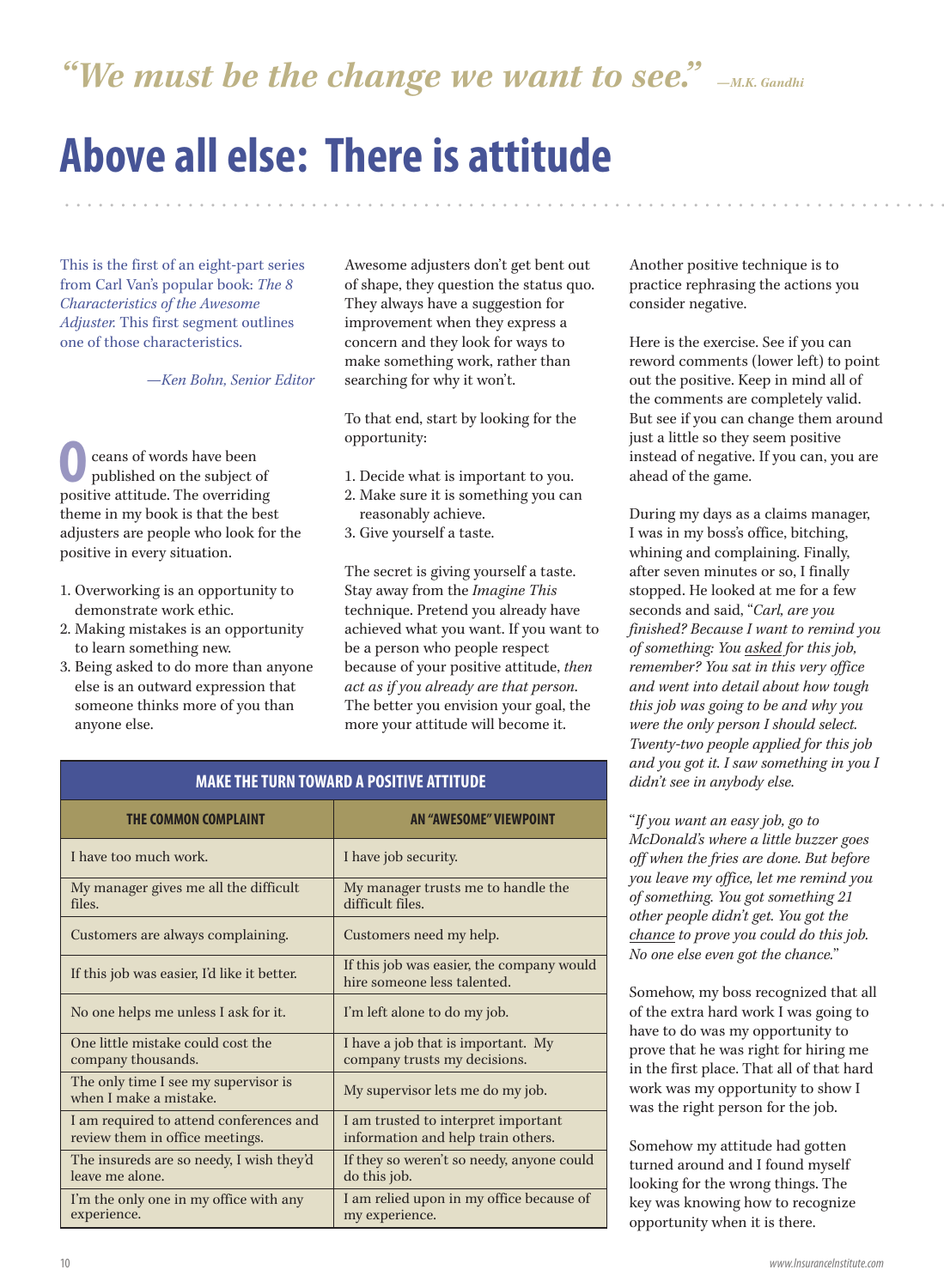"We must be the change we want to see."  $\mathcal{L}_{\text{M.K. Gandhi}}$ 

## **Above all else: There is attitude**

This is the first of an eight-part series from Carl Van's popular book: *The 8 Characteristics of the Awesome Adjuster.* This first segment outlines one of those characteristics.

*—Ken Bohn, Senior Editor* 

ceans of words have been published on the subject of **O** ceans of words have been<br>published on the subject of<br>positive attitude. The overriding theme in my book is that the best adjusters are people who look for the positive in every situation.

- 1. Overworking is an opportunity to demonstrate work ethic.
- 2. Making mistakes is an opportunity to learn something new.
- 3. Being asked to do more than anyone else is an outward expression that someone thinks more of you than anyone else.

Awesome adjusters don't get bent out of shape, they question the status quo. They always have a suggestion for improvement when they express a concern and they look for ways to make something work, rather than searching for why it won't.

To that end, start by looking for the opportunity:

- 1. Decide what is important to you.
- 2. Make sure it is something you can reasonably achieve.
- 3. Give yourself a taste.

The secret is giving yourself a taste. Stay away from the *Imagine This* technique. Pretend you already have achieved what you want. If you want to be a person who people respect because of your positive attitude, *then act as if you already are that person*. The better you envision your goal, the more your attitude will become it.

Another positive technique is to practice rephrasing the actions you consider negative.

• • • • • • • • • • • • • • • • • • • • • • • • • • • • • • • • • • • • • • • • • • • • • • • • • • • • • • • • • • • • • • • • • • • • • • • • • • • • • • • • • • • • • • • • • • • • • • • • • • • • • • • • • •

Here is the exercise. See if you can reword comments (lower left) to point out the positive. Keep in mind all of the comments are completely valid. But see if you can change them around just a little so they seem positive instead of negative. If you can, you are ahead of the game.

During my days as a claims manager, I was in my boss's office, bitching, whining and complaining. Finally, after seven minutes or so, I finally stopped. He looked at me for a few seconds and said, "*Carl, are you finished? Because I want to remind you of something: You asked for this job, remember? You sat in this very office and went into detail about how tough this job was going to be and why you were the only person I should select. Twenty-two people applied for this job and you got it. I saw something in you I didn't see in anybody else.* 

"*If you want an easy job, go to McDonald's where a little buzzer goes off when the fries are done. But before you leave my office, let me remind you of something. You got something 21 other people didn't get. You got the chance to prove you could do this job. No one else even got the chance.*"

Somehow, my boss recognized that all of the extra hard work I was going to have to do was my opportunity to prove that he was right for hiring me in the first place. That all of that hard work was my opportunity to show I was the right person for the job.

Somehow my attitude had gotten turned around and I found myself looking for the wrong things. The key was knowing how to recognize opportunity when it is there.

#### **MAKE THE TURN TOWARD A POSITIVE ATTITUDE**

| <b>THE COMMON COMPLAINT</b>                                                | <b>AN "AWESOME" VIEWPOINT</b>                                             |
|----------------------------------------------------------------------------|---------------------------------------------------------------------------|
| I have too much work.                                                      | I have job security.                                                      |
| My manager gives me all the difficult<br>files.                            | My manager trusts me to handle the<br>difficult files.                    |
| Customers are always complaining.                                          | Customers need my help.                                                   |
| If this job was easier, I'd like it better.                                | If this job was easier, the company would<br>hire someone less talented.  |
| No one helps me unless I ask for it.                                       | I'm left alone to do my job.                                              |
| One little mistake could cost the<br>company thousands.                    | I have a job that is important. My<br>company trusts my decisions.        |
| The only time I see my supervisor is<br>when I make a mistake.             | My supervisor lets me do my job.                                          |
| I am required to attend conferences and<br>review them in office meetings. | I am trusted to interpret important<br>information and help train others. |
| The insureds are so needy, I wish they'd<br>leave me alone.                | If they so weren't so needy, anyone could<br>do this job.                 |
| I'm the only one in my office with any<br>experience.                      | I am relied upon in my office because of<br>my experience.                |